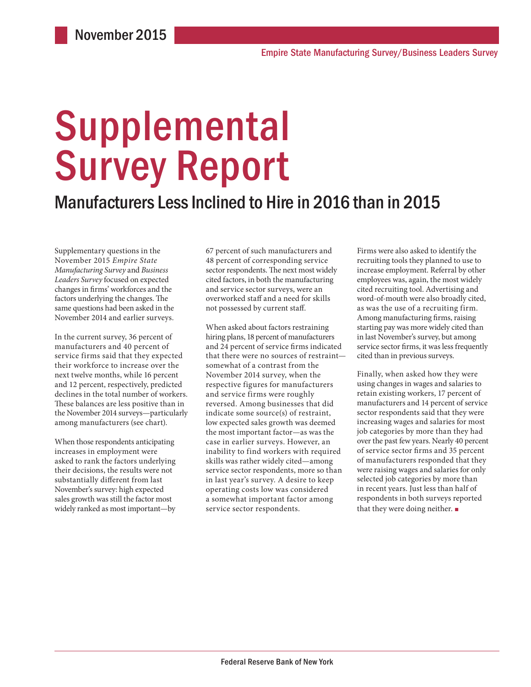# **Supplemental** Survey Report

### Manufacturers Less Inclined to Hire in 2016 than in 2015

Supplementary questions in the November 2015 *Empire State Manufacturing Survey* and *Business Leaders Survey* focused on expected changes in firms' workforces and the factors underlying the changes. The same questions had been asked in the November 2014 and earlier surveys.

In the current survey, 36 percent of manufacturers and 40 percent of service firms said that they expected their workforce to increase over the next twelve months, while 16 percent and 12 percent, respectively, predicted declines in the total number of workers. These balances are less positive than in the November 2014 surveys—particularly among manufacturers (see chart).

When those respondents anticipating increases in employment were asked to rank the factors underlying their decisions, the results were not substantially different from last November's survey: high expected sales growth was still the factor most widely ranked as most important—by

67 percent of such manufacturers and 48 percent of corresponding service sector respondents. The next most widely cited factors, in both the manufacturing and service sector surveys, were an overworked staff and a need for skills not possessed by current staff.

When asked about factors restraining hiring plans, 18 percent of manufacturers and 24 percent of service firms indicated that there were no sources of restraint somewhat of a contrast from the November 2014 survey, when the respective figures for manufacturers and service firms were roughly reversed. Among businesses that did indicate some source(s) of restraint, low expected sales growth was deemed the most important factor—as was the case in earlier surveys. However, an inability to find workers with required skills was rather widely cited—among service sector respondents, more so than in last year's survey. A desire to keep operating costs low was considered a somewhat important factor among service sector respondents.

Firms were also asked to identify the recruiting tools they planned to use to increase employment. Referral by other employees was, again, the most widely cited recruiting tool. Advertising and word-of-mouth were also broadly cited, as was the use of a recruiting firm. Among manufacturing firms, raising starting pay was more widely cited than in last November's survey, but among service sector firms, it was less frequently cited than in previous surveys.

Finally, when asked how they were using changes in wages and salaries to retain existing workers, 17 percent of manufacturers and 14 percent of service sector respondents said that they were increasing wages and salaries for most job categories by more than they had over the past few years. Nearly 40 percent of service sector firms and 35 percent of manufacturers responded that they were raising wages and salaries for only selected job categories by more than in recent years. Just less than half of respondents in both surveys reported that they were doing neither. ■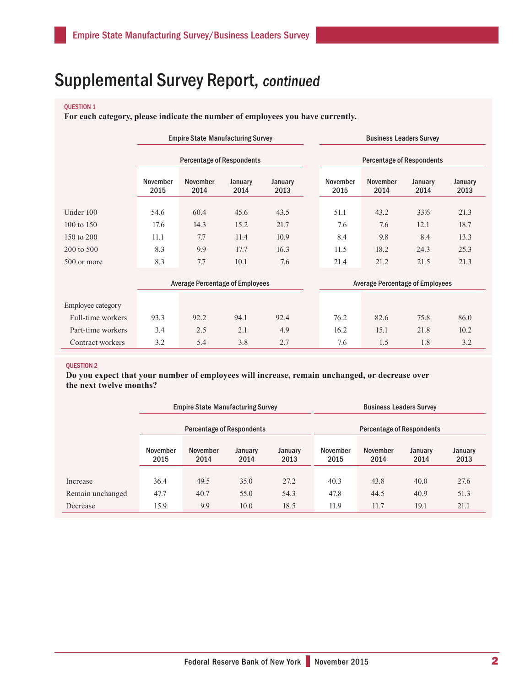## Supplemental Survey Report, continued

#### QUESTION 1

**For each category, please indicate the number of employees you have currently.**

|             | <b>Empire State Manufacturing Survey</b> |                  |                 |                 | <b>Business Leaders Survey</b>   |                         |                 |                 |  |
|-------------|------------------------------------------|------------------|-----------------|-----------------|----------------------------------|-------------------------|-----------------|-----------------|--|
|             | <b>Percentage of Respondents</b>         |                  |                 |                 | <b>Percentage of Respondents</b> |                         |                 |                 |  |
|             | November<br>2015                         | November<br>2014 | January<br>2014 | January<br>2013 | November<br>2015                 | <b>November</b><br>2014 | January<br>2014 | January<br>2013 |  |
|             |                                          |                  |                 |                 |                                  |                         |                 |                 |  |
| Under 100   | 54.6                                     | 60.4             | 45.6            | 43.5            | 51.1                             | 43.2                    | 33.6            | 21.3            |  |
| 100 to 150  | 17.6                                     | 14.3             | 15.2            | 21.7            | 7.6                              | 7.6                     | 12.1            | 18.7            |  |
| 150 to 200  | 11.1                                     | 7.7              | 11.4            | 10.9            | 8.4                              | 9.8                     | 8.4             | 13.3            |  |
| 200 to 500  | 8.3                                      | 9.9              | 17.7            | 16.3            | 11.5                             | 18.2                    | 24.3            | 25.3            |  |
| 500 or more | 8.3                                      | 7.7              | 10.1            | 7.6             | 21.4                             | 21.2                    | 21.5            | 21.3            |  |
|             |                                          |                  |                 |                 |                                  |                         |                 |                 |  |

|                   |      | <b>Average Percentage of Employees</b> |      |      |  | <b>Average Percentage of Employees</b> |      |      |      |  |
|-------------------|------|----------------------------------------|------|------|--|----------------------------------------|------|------|------|--|
|                   |      |                                        |      |      |  |                                        |      |      |      |  |
| Employee category |      |                                        |      |      |  |                                        |      |      |      |  |
| Full-time workers | 93.3 | 92.2                                   | 94.1 | 92.4 |  | 76.2                                   | 82.6 | 75.8 | 86.0 |  |
| Part-time workers | 3.4  | 2.5                                    | 2.1  | 4.9  |  | 16.2                                   | 15.1 | 21.8 | 10.2 |  |
| Contract workers  | 3.2  | 5.4                                    | 3.8  | 2.7  |  | 7.6                                    |      | 1.8  | 3.2  |  |

#### QUESTION 2

**Do you expect that your number of employees will increase, remain unchanged, or decrease over the next twelve months?**

|                  | <b>Empire State Manufacturing Survey</b> |                  |                 |                 | <b>Business Leaders Survey</b>   |                  |                 |                 |  |
|------------------|------------------------------------------|------------------|-----------------|-----------------|----------------------------------|------------------|-----------------|-----------------|--|
|                  | <b>Percentage of Respondents</b>         |                  |                 |                 | <b>Percentage of Respondents</b> |                  |                 |                 |  |
|                  | November<br>2015                         | November<br>2014 | January<br>2014 | January<br>2013 | November<br>2015                 | November<br>2014 | January<br>2014 | January<br>2013 |  |
| Increase         | 36.4                                     | 49.5             | 35.0            | 27.2            | 40.3                             | 43.8             | 40.0            | 27.6            |  |
| Remain unchanged | 47.7                                     | 40.7             | 55.0            | 54.3            | 47.8                             | 44.5             | 40.9            | 51.3            |  |
| Decrease         | 15.9                                     | 9.9              | 10.0            | 18.5            | 11.9                             | 11.7             | 19.1            | 21.1            |  |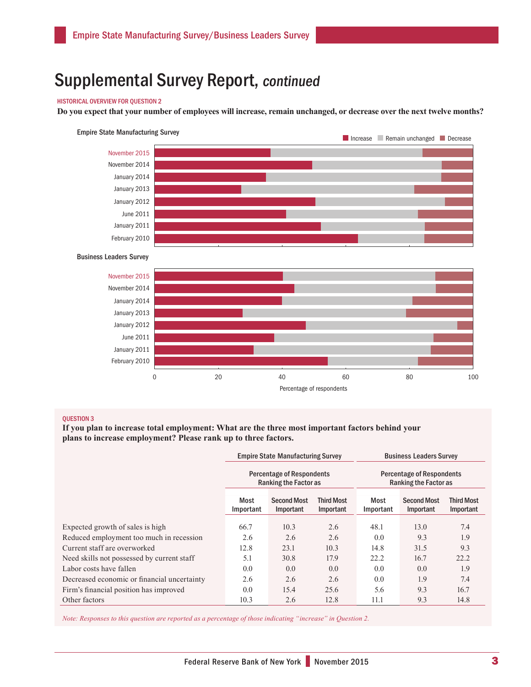## Supplemental Survey Report, continued

#### HISTORICAL OVERVIEW FOR QUESTION 2

**Do you expect that your number of employees will increase, remain unchanged, or decrease over the next twelve months?**



#### QUESTION 3

**If you plan to increase total employment: What are the three most important factors behind your plans to increase employment? Please rank up to three factors.**

|                                             |                                                      | <b>Empire State Manufacturing Survey</b>                         |                                | <b>Business Leaders Survey</b>                                   |                                 |                                |  |
|---------------------------------------------|------------------------------------------------------|------------------------------------------------------------------|--------------------------------|------------------------------------------------------------------|---------------------------------|--------------------------------|--|
|                                             |                                                      | <b>Percentage of Respondents</b><br><b>Ranking the Factor as</b> |                                | <b>Percentage of Respondents</b><br><b>Ranking the Factor as</b> |                                 |                                |  |
|                                             | Most<br><b>Second Most</b><br>Important<br>Important |                                                                  | <b>Third Most</b><br>Important | Most<br>Important                                                | <b>Second Most</b><br>Important | <b>Third Most</b><br>Important |  |
| Expected growth of sales is high            | 66.7                                                 | 10.3                                                             | 2.6                            | 48.1                                                             | 13.0                            | 7.4                            |  |
| Reduced employment too much in recession    | 2.6                                                  | 2.6                                                              | 2.6                            | 0.0                                                              | 9.3                             | 1.9                            |  |
| Current staff are overworked                | 12.8                                                 | 23.1                                                             | 10.3                           | 14.8                                                             | 31.5                            | 9.3                            |  |
| Need skills not possessed by current staff  | 5.1                                                  | 30.8                                                             | 17.9                           | 22.2                                                             | 16.7                            | 22.2                           |  |
| Labor costs have fallen                     | 0.0                                                  | 0.0                                                              | 0.0                            | 0.0                                                              | 0.0                             | 1.9                            |  |
| Decreased economic or financial uncertainty | 2.6                                                  | 2.6                                                              | 2.6                            | 0.0                                                              | 1.9                             | 7.4                            |  |
| Firm's financial position has improved      | 0.0                                                  | 15.4                                                             | 25.6                           | 5.6                                                              | 9.3                             | 16.7                           |  |
| Other factors                               | 10.3                                                 | 2.6                                                              | 12.8                           | 11.1                                                             | 9.3                             | 14.8                           |  |

*Note: Responses to this question are reported as a percentage of those indicating "increase" in Question 2.*